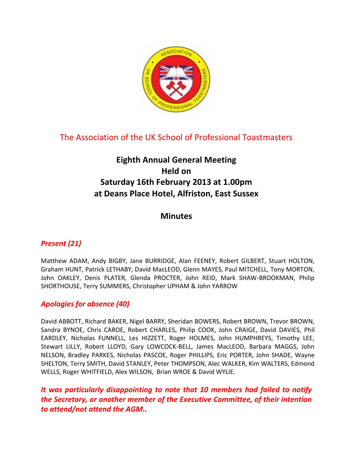

# The Association of the UK School of Professional Toastmasters

# **Eighth Annual General Meeting Held on Saturday 16th February 2013 at 1.00pm at Deans Place Hotel, Alfriston, East Sussex**

# **Minutes**

# *Present (21)*

Matthew ADAM, Andy BIGBY, Jane BURRIDGE, Alan FEENEY, Robert GILBERT, Stuart HOLTON, Graham HUNT, Patrick LETHABY, David MacLEOD, Glenn MAYES, Paul MITCHELL, Tony MORTON, John OAKLEY, Denis PLATER, Glenda PROCTER, John REID, Mark SHAW-BROOKMAN, Philip SHORTHOUSE, Terry SUMMERS, Christopher UPHAM & John YARROW

# *Apologies for absence (40)*

David ABBOTT, Richard BAKER, Nigel BARRY, Sheridan BOWERS, Robert BROWN, Trevor BROWN, Sandra BYNOE, Chris CAROE, Robert CHARLES, Philip COOK, John CRAIGE, David DAVIES, Phil EARDLEY, Nicholas FUNNELL, Les HIZZETT, Roger HOLMES, John HUMPHREYS, Timothy LEE, Stewart LILLY, Robert LLOYD, Gary LOWCOCK-BELL, James MacLEOD, Barbara MAGGS, John NELSON, Bradley PARKES, Nicholas PASCOE, Roger PHILLIPS, Eric PORTER, John SHADE, Wayne SHELTON, Terry SMITH, David STANLEY, Peter THOMPSON, Alec WALKER, Kim WALTERS, Edmond WELLS, Roger WHITFIELD, Alex WILSON, Brian WROE & David WYLIE.

*It was particularly disappointing to note that 10 members had failed to notify the Secretary, or another member of the Executive Committee, of their intention to attend/not attend the AGM..*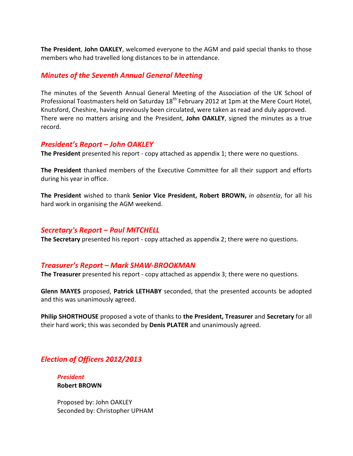**The President**, **John OAKLEY**, welcomed everyone to the AGM and paid special thanks to those members who had travelled long distances to be in attendance.

# *Minutes of the Seventh Annual General Meeting*

The minutes of the Seventh Annual General Meeting of the Association of the UK School of Professional Toastmasters held on Saturday 18<sup>th</sup> February 2012 at 1pm at the Mere Court Hotel, Knutsford, Cheshire, having previously been circulated, were taken as read and duly approved. There were no matters arising and the President, **John OAKLEY**, signed the minutes as a true record.

## *President's Report – John OAKLEY*

**The President** presented his report - copy attached as appendix 1; there were no questions.

**The President** thanked members of the Executive Committee for all their support and efforts during his year in office.

**The President** wished to thank **Senior Vice President, Robert BROWN,** *in absentia*, for all his hard work in organising the AGM weekend.

## *Secretary's Report – Paul MITCHELL*

**The Secretary** presented his report - copy attached as appendix 2; there were no questions.

## *Treasurer's Report – Mark SHAW-BROOKMAN*

**The Treasurer** presented his report - copy attached as appendix 3; there were no questions.

**Glenn MAYES** proposed, **Patrick LETHABY** seconded, that the presented accounts be adopted and this was unanimously agreed.

**Philip SHORTHOUSE** proposed a vote of thanks to **the President, Treasurer** and **Secretary** for all their hard work; this was seconded by **Denis PLATER** and unanimously agreed.

# *Election of Officers 2012/2013*

*President*  **Robert BROWN** 

Proposed by: John OAKLEY Seconded by: Christopher UPHAM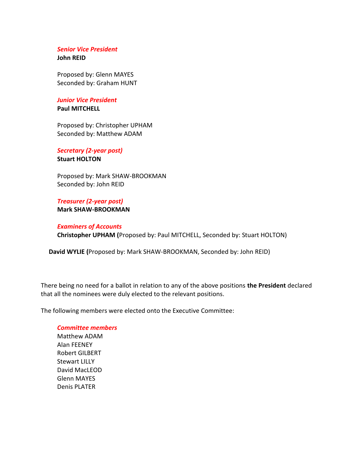#### *Senior Vice President* **John REID**

Proposed by: Glenn MAYES Seconded by: Graham HUNT

#### *Junior Vice President* **Paul MITCHELL**

Proposed by: Christopher UPHAM Seconded by: Matthew ADAM

*Secretary (2-year post)* **Stuart HOLTON** 

Proposed by: Mark SHAW-BROOKMAN Seconded by: John REID

*Treasurer (2-year post)*  **Mark SHAW-BROOKMAN** 

#### *Examiners of Accounts*  **Christopher UPHAM (**Proposed by: Paul MITCHELL, Seconded by: Stuart HOLTON)

 **David WYLIE (**Proposed by: Mark SHAW-BROOKMAN, Seconded by: John REID)

There being no need for a ballot in relation to any of the above positions **the President** declared that all the nominees were duly elected to the relevant positions.

The following members were elected onto the Executive Committee:

#### *Committee members*

Matthew ADAM Alan FEENEY Robert GILBERT Stewart LILLY David MacLEOD Glenn MAYES Denis PLATER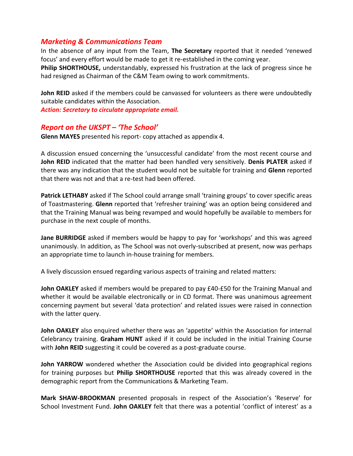# *Marketing & Communications Team*

In the absence of any input from the Team, **The Secretary** reported that it needed 'renewed focus' and every effort would be made to get it re-established in the coming year.

**Philip SHORTHOUSE,** understandably, expressed his frustration at the lack of progress since he had resigned as Chairman of the C&M Team owing to work commitments.

**John REID** asked if the members could be canvassed for volunteers as there were undoubtedly suitable candidates within the Association.

*Action: Secretary to circulate appropriate email.* 

## *Report on the UKSPT – 'The School'*

**Glenn MAYES** presented his report- copy attached as appendix 4.

A discussion ensued concerning the 'unsuccessful candidate' from the most recent course and **John REID** indicated that the matter had been handled very sensitively. **Denis PLATER** asked if there was any indication that the student would not be suitable for training and **Glenn** reported that there was not and that a re-test had been offered.

**Patrick LETHABY** asked if The School could arrange small 'training groups' to cover specific areas of Toastmastering. **Glenn** reported that 'refresher training' was an option being considered and that the Training Manual was being revamped and would hopefully be available to members for purchase in the next couple of months.

**Jane BURRIDGE** asked if members would be happy to pay for 'workshops' and this was agreed unanimously. In addition, as The School was not overly-subscribed at present, now was perhaps an appropriate time to launch in-house training for members.

A lively discussion ensued regarding various aspects of training and related matters:

**John OAKLEY** asked if members would be prepared to pay £40-£50 for the Training Manual and whether it would be available electronically or in CD format. There was unanimous agreement concerning payment but several 'data protection' and related issues were raised in connection with the latter query.

**John OAKLEY** also enquired whether there was an 'appetite' within the Association for internal Celebrancy training. **Graham HUNT** asked if it could be included in the initial Training Course with **John REID** suggesting it could be covered as a post-graduate course.

**John YARROW** wondered whether the Association could be divided into geographical regions for training purposes but **Philip SHORTHOUSE** reported that this was already covered in the demographic report from the Communications & Marketing Team.

**Mark SHAW-BROOKMAN** presented proposals in respect of the Association's 'Reserve' for School Investment Fund. **John OAKLEY** felt that there was a potential 'conflict of interest' as a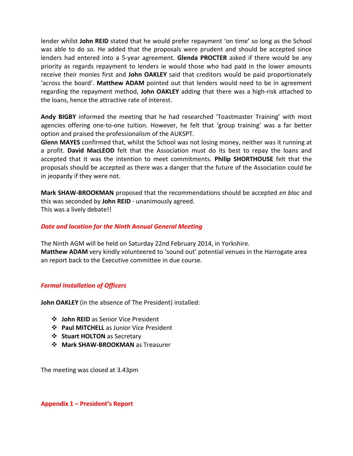lender whilst **John REID** stated that he would prefer repayment 'on time' so long as the School was able to do so. He added that the proposals were prudent and should be accepted since lenders had entered into a 5-year agreement. **Glenda PROCTER** asked if there would be any priority as regards repayment to lenders ie would those who had paid in the lower amounts receive their monies first and **John OAKLEY** said that creditors would be paid proportionately 'across the board'. **Matthew ADAM** pointed out that lenders would need to be in agreement regarding the repayment method, **John OAKLEY** adding that there was a high-risk attached to the loans, hence the attractive rate of interest.

**Andy BIGBY** informed the meeting that he had researched 'Toastmaster Training' with most agencies offering one-to-one tuition. However, he felt that 'group training' was a far better option and praised the professionalism of the AUKSPT.

**Glenn MAYES** confirmed that, whilst the School was not losing money, neither was it running at a profit. **David MacLEOD** felt that the Association must do its best to repay the loans and accepted that it was the intention to meet commitments. **Philip SHORTHOUSE** felt that the proposals should be accepted as there was a danger that the future of the Association could be in jeopardy if they were not.

**Mark SHAW-BROOKMAN** proposed that the recommendations should be accepted *en bloc* and this was seconded by **John REID** - unanimously agreed. This was a lively debate!!

### *Date and location for the Ninth Annual General Meeting*

The Ninth AGM will be held on Saturday 22nd February 2014, in Yorkshire. **Matthew ADAM** very kindly volunteered to 'sound out' potential venues in the Harrogate area an report back to the Executive committee in due course.

## *Formal Installation of Officers*

**John OAKLEY** (in the absence of The President) installed:

- **John REID** as Senior Vice President
- **Paul MITCHELL** as Junior Vice President
- **Stuart HOLTON** as Secretary
- **Mark SHAW-BROOKMAN** as Treasurer

The meeting was closed at 3.43pm

**Appendix 1 – President's Report**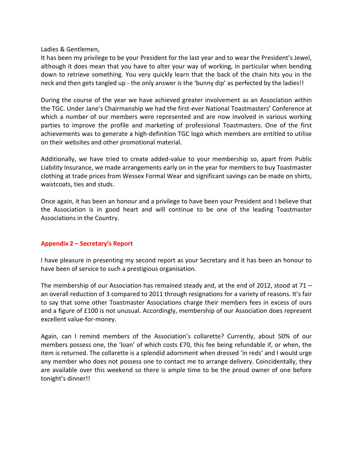Ladies & Gentlemen,

It has been my privilege to be your President for the last year and to wear the President's Jewel, although it does mean that you have to alter your way of working, in particular when bending down to retrieve something. You very quickly learn that the back of the chain hits you in the neck and then gets tangled up - the only answer is the 'bunny dip' as perfected by the ladies!!

During the course of the year we have achieved greater involvement as an Association within the TGC. Under Jane's Chairmanship we had the first-ever National Toastmasters' Conference at which a number of our members were represented and are now involved in various working parties to improve the profile and marketing of professional Toastmasters. One of the first achievements was to generate a high-definition TGC logo which members are entitled to utilise on their websites and other promotional material.

Additionally, we have tried to create added-value to your membership so, apart from Public Liability Insurance, we made arrangements early on in the year for members to buy Toastmaster clothing at trade prices from Wessex Formal Wear and significant savings can be made on shirts, waistcoats, ties and studs.

Once again, it has been an honour and a privilege to have been your President and I believe that the Association is in good heart and will continue to be one of the leading Toastmaster Associations in the Country.

## **Appendix 2 – Secretary's Report**

I have pleasure in presenting my second report as your Secretary and it has been an honour to have been of service to such a prestigious organisation.

The membership of our Association has remained steady and, at the end of 2012, stood at 71 – an overall reduction of 3 compared to 2011 through resignations for a variety of reasons. It's fair to say that some other Toastmaster Associations charge their members fees in excess of ours and a figure of £100 is not unusual. Accordingly, membership of our Association does represent excellent value-for-money.

Again, can I remind members of the Association's collarette? Currently, about 50% of our members possess one, the 'loan' of which costs £70, this fee being refundable if, or when, the item is returned. The collarette is a splendid adornment when dressed 'in reds' and I would urge any member who does not possess one to contact me to arrange delivery. Coincidentally, they are available over this weekend so there is ample time to be the proud owner of one before tonight's dinner!!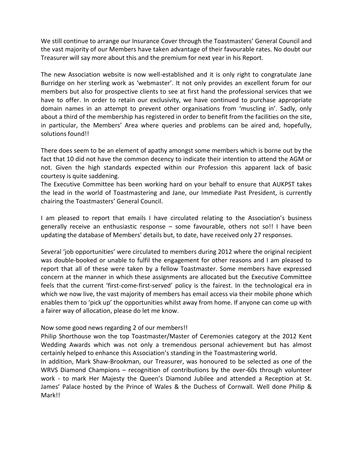We still continue to arrange our Insurance Cover through the Toastmasters' General Council and the vast majority of our Members have taken advantage of their favourable rates. No doubt our Treasurer will say more about this and the premium for next year in his Report.

The new Association website is now well-established and it is only right to congratulate Jane Burridge on her sterling work as 'webmaster'. It not only provides an excellent forum for our members but also for prospective clients to see at first hand the professional services that we have to offer. In order to retain our exclusivity, we have continued to purchase appropriate domain names in an attempt to prevent other organisations from 'muscling in'. Sadly, only about a third of the membership has registered in order to benefit from the facilities on the site, in particular, the Members' Area where queries and problems can be aired and, hopefully, solutions found!!

There does seem to be an element of apathy amongst some members which is borne out by the fact that 10 did not have the common decency to indicate their intention to attend the AGM or not. Given the high standards expected within our Profession this apparent lack of basic courtesy is quite saddening.

The Executive Committee has been working hard on your behalf to ensure that AUKPST takes the lead in the world of Toastmastering and Jane, our Immediate Past President, is currently chairing the Toastmasters' General Council.

I am pleased to report that emails I have circulated relating to the Association's business generally receive an enthusiastic response – some favourable, others not so!! I have been updating the database of Members' details but, to date, have received only 27 responses.

Several 'job opportunities' were circulated to members during 2012 where the original recipient was double-booked or unable to fulfil the engagement for other reasons and I am pleased to report that all of these were taken by a fellow Toastmaster. Some members have expressed concern at the manner in which these assignments are allocated but the Executive Committee feels that the current 'first-come-first-served' policy is the fairest. In the technological era in which we now live, the vast majority of members has email access via their mobile phone which enables them to 'pick up' the opportunities whilst away from home. If anyone can come up with a fairer way of allocation, please do let me know.

#### Now some good news regarding 2 of our members!!

Philip Shorthouse won the top Toastmaster/Master of Ceremonies category at the 2012 Kent Wedding Awards which was not only a tremendous personal achievement but has almost certainly helped to enhance this Association's standing in the Toastmastering world.

In addition, Mark Shaw-Brookman, our Treasurer, was honoured to be selected as one of the WRVS Diamond Champions – recognition of contributions by the over-60s through volunteer work - to mark Her Majesty the Queen's Diamond Jubilee and attended a Reception at St. James' Palace hosted by the Prince of Wales & the Duchess of Cornwall. Well done Philip & Mark!!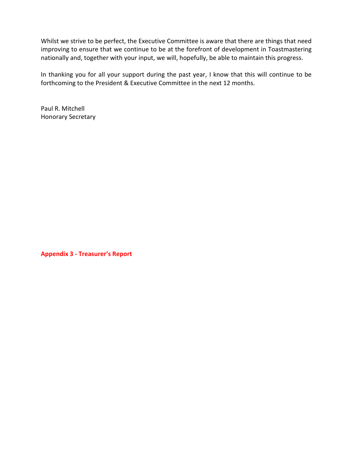Whilst we strive to be perfect, the Executive Committee is aware that there are things that need improving to ensure that we continue to be at the forefront of development in Toastmastering nationally and, together with your input, we will, hopefully, be able to maintain this progress.

In thanking you for all your support during the past year, I know that this will continue to be forthcoming to the President & Executive Committee in the next 12 months.

Paul R. Mitchell Honorary Secretary

**Appendix 3 - Treasurer's Report**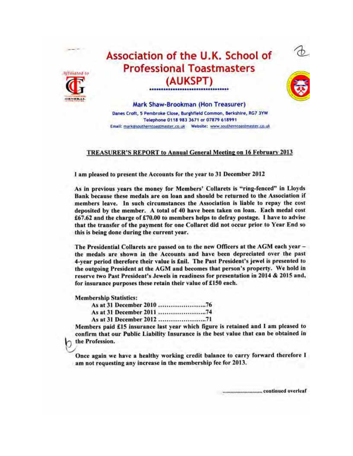



# Association of the U.K. School of **Professional Toastmasters** (AUKSPT)



Mark Shaw-Brookman (Hon Treasurer) Danes Croft, 5 Pembroke Close, Burghfield Common, Berkshire, RG7 3YW Telephone 0118 983 3671 or 07879 618991 

#### TREASURER'S REPORT to Annual General Meeting on 16 February 2013

I am pleased to present the Accounts for the year to 31 December 2012

As in previous vears the money for Members' Collarets is "ring-fenced" in Lloyds Bank because these medals are on loan and should be returned to the Association if members leave. In such circumstances the Association is liable to repay the cost deposited by the member. A total of 40 have been taken on loan. Each medal cost £67.62 and the charge of £70.00 to members helps to defray postage. I have to advise that the transfer of the payment for one Collaret did not occur prior to Year End so this is being done during the current year.

The Presidential Collarets are passed on to the new Officers at the AGM each year the medals are shown in the Accounts and have been depreciated over the past 4-year period therefore their value is £nil. The Past President's jewel is presented to the outgoing President at the AGM and becomes that person's property. We hold in reserve two Past President's Jewels in readiness for presentation in 2014 & 2015 and, for insurance purposes these retain their value of £150 each.

**Membership Statistics:** 

Members paid £15 insurance last year which figure is retained and I am pleased to confirm that our Public Liability Insurance is the best value that can be obtained in the Profession.

Once again we have a healthy working credit balance to carry forward therefore I am not requesting any increase in the membership fee for 2013.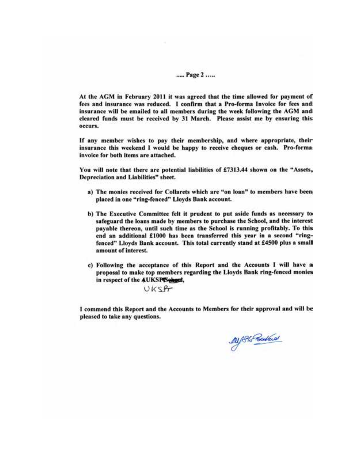#### ..... Page 2 .....

At the AGM in February 2011 it was agreed that the time allowed for payment of fees and insurance was reduced. I confirm that a Pro-forma Invoice for fees and insurance will be emailed to all members during the week following the AGM and cleared funds must be received by 31 March. Please assist me by ensuring this occurs.

If any member wishes to pay their membership, and where appropriate, their insurance this weekend I would be happy to receive cheques or cash. Pro-forma invoice for both items are attached.

You will note that there are potential liabilities of £7313.44 shown on the "Assets, Depreciation and Liabilities" sheet.

- a) The monies received for Collarets which are "on loan" to members have been placed in one "ring-fenced" Lloyds Bank account.
- b) The Executive Committee felt it prudent to put aside funds as necessary to safeguard the loans made by members to purchase the School, and the interest payable thereon, until such time as the School is running profitably. To this end an additional £1000 has been transferred this year in a second "ringfenced" Lloyds Bank account. This total currently stand at £4500 plus a small amount of interest.
- c) Following the acceptance of this Report and the Accounts I will have a proposal to make top members regarding the Lloyds Bank ring-fenced monies in respect of the AUKSPISehout,

UKSPT

I commend this Report and the Accounts to Members for their approval and will be pleased to take any questions.

Dy Ph Postars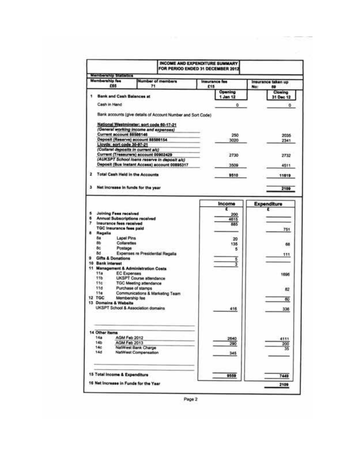|                 |                                                                   |                                 | <b>INCOME AND EXPENDITURE SUMMARY</b><br>FOR PERIOD ENDED 31 DECEMBER 2012 |                    |
|-----------------|-------------------------------------------------------------------|---------------------------------|----------------------------------------------------------------------------|--------------------|
|                 | <b>Membership Statistics</b>                                      |                                 |                                                                            |                    |
|                 | <b>Membership fee</b>                                             | <b>Number of members</b>        | Insurance fee                                                              | Insurance taken up |
|                 | £65                                                               | 71                              | £15                                                                        | No:<br>69          |
|                 | <b>Bank and Cash Balances at</b>                                  |                                 | Opening                                                                    | Closing            |
|                 |                                                                   |                                 | 1 Jan 12                                                                   | 31 Dec 12          |
|                 | Cash in Hand                                                      |                                 | ۰                                                                          | ٥                  |
|                 | Bank accounts (give details of Account Number and Sort Code)      |                                 |                                                                            |                    |
|                 |                                                                   |                                 |                                                                            |                    |
|                 | National Westminster; sort code 60-17-21                          |                                 |                                                                            |                    |
|                 | (General working income and expenses)<br>Current account 88586146 |                                 |                                                                            |                    |
|                 | Deposit (Reserve) account 88586154                                |                                 | 250                                                                        | 2035               |
|                 | Lloyds: sort code 30-97-21                                        |                                 | 3020                                                                       | 2341               |
|                 | (Collaret deposits in current a/c)                                |                                 |                                                                            |                    |
|                 | Current (Treasurers) account 00902429                             |                                 | 2730                                                                       | 2732               |
|                 | (AUKSPT School loans reserve in deposit a/c)                      |                                 |                                                                            |                    |
|                 | Deposit (Bus Instant Access) account 00895317                     |                                 | 3509                                                                       | 4511               |
| 2               | <b>Total Cash Held in the Accounts</b>                            |                                 | 9510                                                                       | 11619              |
|                 |                                                                   |                                 |                                                                            |                    |
| э               | Net Increase in funds for the year                                |                                 |                                                                            | 2109               |
|                 |                                                                   |                                 | Income                                                                     | Expenditure        |
| s               |                                                                   |                                 |                                                                            |                    |
| 6               | <b>Joining Fees received</b><br>Annual Subscriptions received     |                                 | 200                                                                        |                    |
| 7.              | Insurance fees received                                           |                                 | 4615<br>885                                                                |                    |
|                 | <b>TGC Insurance fees paid</b>                                    |                                 |                                                                            | 751                |
|                 | Regalia                                                           |                                 |                                                                            |                    |
| Ba              | Lapel Pins                                                        |                                 | 20                                                                         |                    |
| Вb              | Collarettes                                                       |                                 | 135                                                                        | 68                 |
| 8c              | Postage                                                           |                                 | б                                                                          |                    |
| <b>Bd</b>       | Expenses re Presidential Regalia                                  |                                 |                                                                            | 111                |
|                 | <b>Gifts &amp; Donations</b><br>10 Bank interest                  |                                 | 5                                                                          |                    |
|                 | 11 Management & Administration Costs                              |                                 |                                                                            |                    |
|                 |                                                                   |                                 |                                                                            |                    |
| 11a             | <b>EC Expenses</b>                                                |                                 |                                                                            |                    |
| 11 <sub>b</sub> | <b>UKSPT Course attendance</b>                                    |                                 |                                                                            | 1696               |
|                 | 11c<br><b>TGC Meeting attendance</b>                              |                                 |                                                                            |                    |
| 11d             | Purchase of stamps                                                |                                 |                                                                            | 82                 |
| 110             |                                                                   | Communications & Marketing Team |                                                                            |                    |
| <b>12 TGC</b>   | Membership fee                                                    |                                 |                                                                            | 60                 |
|                 | 13 Domains & Website                                              |                                 |                                                                            |                    |
|                 | UKSPT School & Association domains                                |                                 | 416                                                                        | 336                |
|                 |                                                                   |                                 |                                                                            |                    |
|                 |                                                                   |                                 |                                                                            |                    |
|                 | 14 Other Items                                                    |                                 |                                                                            |                    |
| 14a             | AGM Feb 2012                                                      |                                 | 2640                                                                       | 4111               |
| 14b             | AGM Feb 2013                                                      |                                 | 290                                                                        | 200                |
| 14c<br>14d      | NatWest Bank Charge                                               |                                 |                                                                            | 35                 |
|                 | <b>NatWest Compensation</b>                                       |                                 | 345                                                                        |                    |
|                 |                                                                   |                                 |                                                                            |                    |
|                 | 15 Total Income & Expenditure                                     |                                 | 9559                                                                       | 7449               |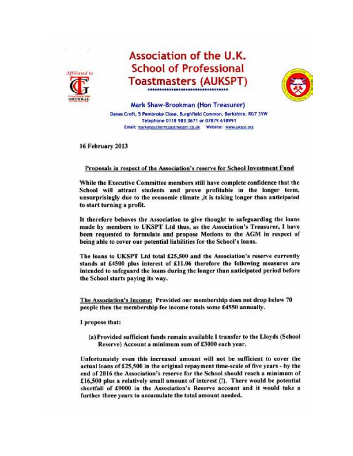

# Association of the U.K. **School of Professional Toastmasters (AUKSPT)**



Mark Shaw-Brookman (Hon Treasurer) Danes Croft, 5 Pembroke Close, Burghfield Common, Berkshire, RG7 3YW Telephone 0118 983 3671 or 07879 618991 

**16 February 2013** 

#### Proposals in respect of the Association's reserve for School Investment Fund

While the Executive Committee members still have complete confidence that the School will attract students and prove profitable in the longer term, unsurprisingly due to the economic climate ,it is taking longer than anticipated to start turning a profit.

It therefore behoves the Association to give thought to safeguarding the loans made by members to UKSPT Ltd thus, as the Association's Treasurer, I have been requested to formulate and propose Motions to the AGM in respect of being able to cover our potential liabilities for the School's loans.

The loans to UKSPT Ltd total £25,500 and the Association's reserve currently stands at £4500 plus interest of £11.06 therefore the following measures are intended to safeguard the loans during the longer than anticipated period before the School starts paying its way.

The Association's Income: Provided our membership does not drop below 70 people then the membership fee income totals some £4550 annually.

I propose that:

(a) Provided sufficient funds remain available I transfer to the Lloyds (School Reserve) Account a minimum sum of £3000 each year.

Unfortunately even this increased amount will not be sufficient to cover the actual loans of £25,500 in the original repayment time-scale of five years - by the end of 2016 the Association's reserve for the School should reach a minimum of £16,500 plus a relatively small amount of interest (!). There would be potential shortfall of £9000 in the Association's Reserve account and it would take a further three years to accumulate the total amount needed.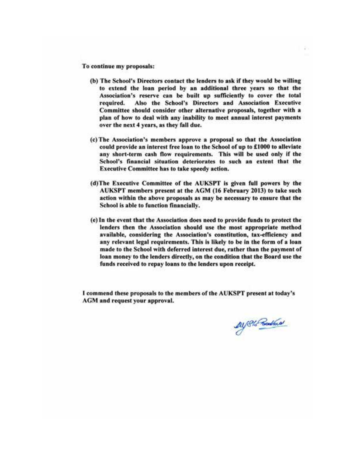To continue my proposals:

- (b) The School's Directors contact the lenders to ask if they would be willing to extend the loan period by an additional three years so that the Association's reserve can be built up sufficiently to cover the total Also the School's Directors and Association Executive required. Committee should consider other alternative proposals, together with a plan of how to deal with any inability to meet annual interest payments over the next 4 years, as they fall due.
- (c) The Association's members approve a proposal so that the Association could provide an interest free loan to the School of up to £1000 to alleviate any short-term cash flow requirements. This will be used only if the School's financial situation deteriorates to such an extent that the Executive Committee has to take speedy action.
- (d)The Executive Committee of the AUKSPT is given full powers by the AUKSPT members present at the AGM (16 February 2013) to take such action within the above proposals as may be necessary to ensure that the School is able to function financially.
- (e) In the event that the Association does need to provide funds to protect the lenders then the Association should use the most appropriate method available, considering the Association's constitution, tax-efficiency and any relevant legal requirements. This is likely to be in the form of a loan made to the School with deferred interest due, rather than the payment of loan money to the lenders directly, on the condition that the Board use the funds received to repay loans to the lenders upon receipt.

I commend these proposals to the members of the AUKSPT present at today's AGM and request your approval.

Alf Sto Poster